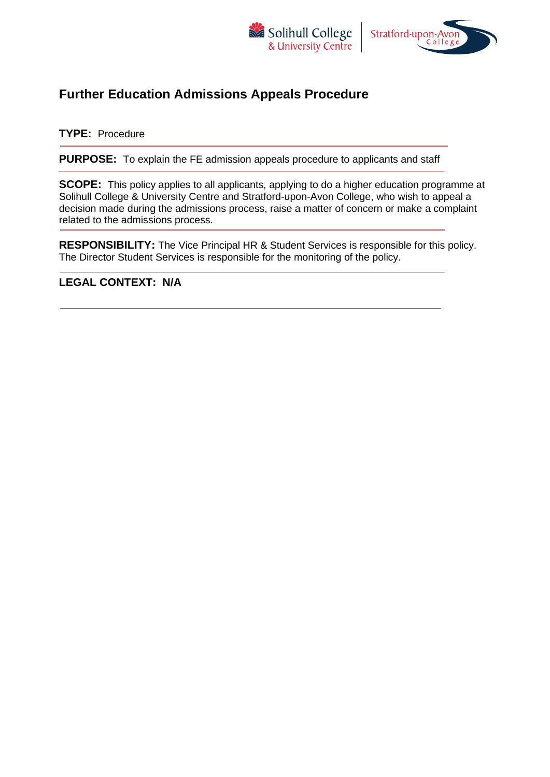



# **Further Education Admissions Appeals Procedure**

#### **TYPE:** Procedure

**PURPOSE:** To explain the FE admission appeals procedure to applicants and staff

**SCOPE:** This policy applies to all applicants, applying to do a higher education programme at Solihull College & University Centre and Stratford-upon-Avon College, who wish to appeal a decision made during the admissions process, raise a matter of concern or make a complaint related to the admissions process.

**RESPONSIBILITY:** The Vice Principal HR & Student Services is responsible for this policy. The Director Student Services is responsible for the monitoring of the policy.

## **LEGAL CONTEXT: N/A**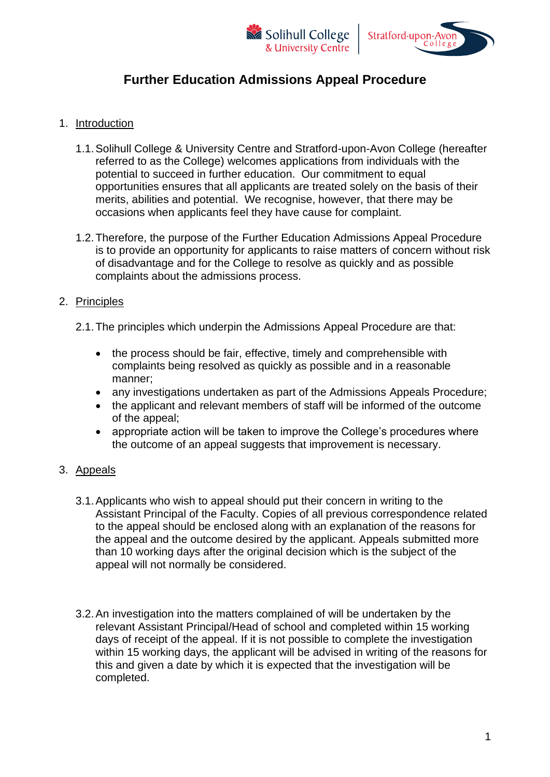



# **Further Education Admissions Appeal Procedure**

### 1. Introduction

- 1.1.Solihull College & University Centre and Stratford-upon-Avon College (hereafter referred to as the College) welcomes applications from individuals with the potential to succeed in further education. Our commitment to equal opportunities ensures that all applicants are treated solely on the basis of their merits, abilities and potential. We recognise, however, that there may be occasions when applicants feel they have cause for complaint.
- 1.2.Therefore, the purpose of the Further Education Admissions Appeal Procedure is to provide an opportunity for applicants to raise matters of concern without risk of disadvantage and for the College to resolve as quickly and as possible complaints about the admissions process.

### 2. Principles

- 2.1.The principles which underpin the Admissions Appeal Procedure are that:
	- the process should be fair, effective, timely and comprehensible with complaints being resolved as quickly as possible and in a reasonable manner;
	- any investigations undertaken as part of the Admissions Appeals Procedure;
	- the applicant and relevant members of staff will be informed of the outcome of the appeal;
	- appropriate action will be taken to improve the College's procedures where the outcome of an appeal suggests that improvement is necessary.

## 3. Appeals

- 3.1.Applicants who wish to appeal should put their concern in writing to the Assistant Principal of the Faculty. Copies of all previous correspondence related to the appeal should be enclosed along with an explanation of the reasons for the appeal and the outcome desired by the applicant. Appeals submitted more than 10 working days after the original decision which is the subject of the appeal will not normally be considered.
- 3.2.An investigation into the matters complained of will be undertaken by the relevant Assistant Principal/Head of school and completed within 15 working days of receipt of the appeal. If it is not possible to complete the investigation within 15 working days, the applicant will be advised in writing of the reasons for this and given a date by which it is expected that the investigation will be completed.